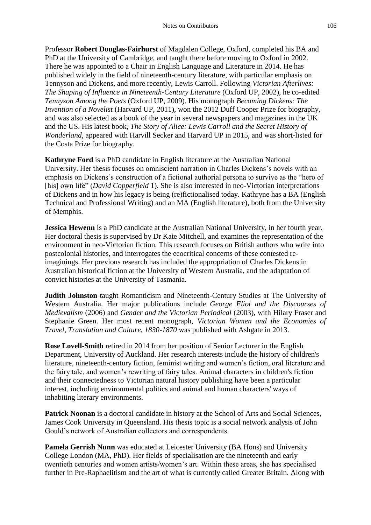Professor **Robert Douglas-Fairhurst** of Magdalen College, Oxford, completed his BA and PhD at the University of Cambridge, and taught there before moving to Oxford in 2002. There he was appointed to a Chair in English Language and Literature in 2014. He has published widely in the field of nineteenth-century literature, with particular emphasis on Tennyson and Dickens, and more recently, Lewis Carroll. Following *Victorian Afterlives: The Shaping of Influence in Nineteenth-Century Literature* (Oxford UP, 2002), he co-edited *Tennyson Among the Poets* (Oxford UP, 2009). His monograph *Becoming Dickens: The Invention of a Novelist* (Harvard UP, 2011), won the 2012 Duff Cooper Prize for biography, and was also selected as a book of the year in several newspapers and magazines in the UK and the US. His latest book, *The Story of Alice: Lewis Carroll and the Secret History of Wonderland*, appeared with Harvill Secker and Harvard UP in 2015, and was short-listed for the Costa Prize for biography.

**Kathryne Ford** is a PhD candidate in English literature at the Australian National University. Her thesis focuses on omniscient narration in Charles Dickens's novels with an emphasis on Dickens's construction of a fictional authorial persona to survive as the "hero of [his] own life" (*David Copperfield* 1). She is also interested in neo-Victorian interpretations of Dickens and in how his legacy is being (re)fictionalised today. Kathryne has a BA (English Technical and Professional Writing) and an MA (English literature), both from the University of Memphis.

**Jessica Hewenn** is a PhD candidate at the Australian National University, in her fourth year. Her doctoral thesis is supervised by Dr Kate Mitchell, and examines the representation of the environment in neo-Victorian fiction. This research focuses on British authors who write into postcolonial histories, and interrogates the ecocritical concerns of these contested reimaginings. Her previous research has included the appropriation of Charles Dickens in Australian historical fiction at the University of Western Australia, and the adaptation of convict histories at the University of Tasmania.

**Judith Johnston** taught Romanticism and Nineteenth-Century Studies at The University of Western Australia. Her major publications include *George Eliot and the Discourses of Medievalism* (2006) and *Gender and the Victorian Periodical* (2003), with Hilary Fraser and Stephanie Green. Her most recent monograph, *Victorian Women and the Economies of Travel, Translation and Culture, 1830-1870* was published with Ashgate in 2013.

**Rose Lovell-Smith** retired in 2014 from her position of Senior Lecturer in the English Department, University of Auckland. Her research interests include the history of children's literature, nineteenth-century fiction, feminist writing and women's fiction, oral literature and the fairy tale, and women's rewriting of fairy tales. Animal characters in children's fiction and their connectedness to Victorian natural history publishing have been a particular interest, including environmental politics and animal and human characters' ways of inhabiting literary environments.

**Patrick Noonan** is a doctoral candidate in history at the School of Arts and Social Sciences, James Cook University in Queensland. His thesis topic is a social network analysis of John Gould's network of Australian collectors and correspondents.

**Pamela Gerrish Nunn** was educated at Leicester University (BA Hons) and University College London (MA, PhD). Her fields of specialisation are the nineteenth and early twentieth centuries and women artists/women's art. Within these areas, she has specialised further in Pre-Raphaelitism and the art of what is currently called Greater Britain. Along with